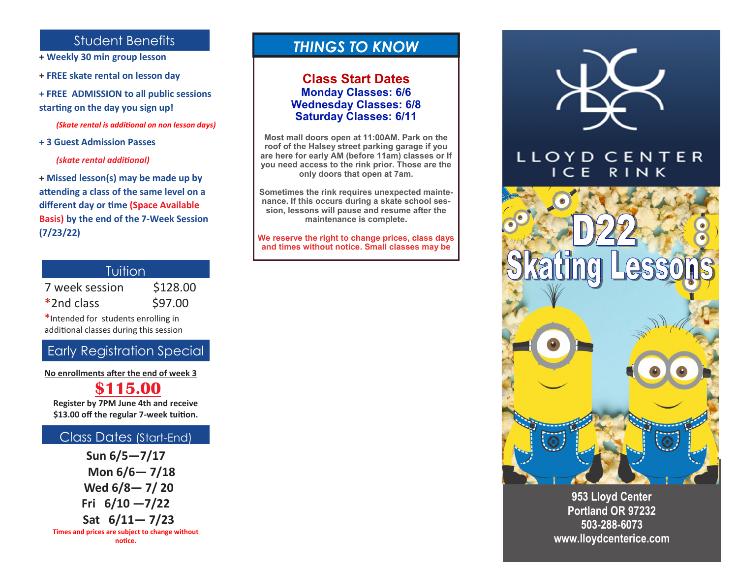# Student Benefits

- **+ Weekly 30 min group lesson**
- **+ FREE skate rental on lesson day**
- **+ FREE ADMISSION to all public sessions starting on the day you sign up!**

*(Skate rental is additional on non lesson days)*

**+ 3 Guest Admission Passes** 

 *(skate rental additional)*

**+ Missed lesson(s) may be made up by attending a class of the same level on a different day or time (Space Available Basis) by the end of the 7-Week Session (7/23/22)** 

| Tuition        |          |  |
|----------------|----------|--|
| 7 week session | \$128.00 |  |
| *2nd class     | \$97.00  |  |
|                |          |  |

**\***Intended for students enrolling in additional classes during this session

## Early Registration Special

**No enrollments after the end of week 3**

### **\$115.00**

**Register by 7PM June 4th and receive \$13.00 off the regular 7-week tuition.** 

#### Class Dates (Start-End)

**Sun 6/5—7/17 Mon 6/6— 7/18 Wed 6/8— 7/ 20 Fri 6/10 —7/22 Sat 6/11— 7/23 Times and prices are subject to change without** 

# *THINGS TO KNOW*

#### **Class Start Dates Monday Classes: 6/6 Wednesday Classes: 6/8 Saturday Classes: 6/11**

**Most mall doors open at 11:00AM. Park on the roof of the Halsey street parking garage if you are here for early AM (before 11am) classes or If you need access to the rink prior. Those are the only doors that open at 7am.**

**Sometimes the rink requires unexpected maintenance. If this occurs during a skate school session, lessons will pause and resume after the maintenance is complete.**

**We reserve the right to change prices, class days and times without notice. Small classes may be** 



#### LLOYD CENTER I C E RINK



**953 Lloyd Center Portland OR 97232 503-288-6073 www.lloydcenterice.com**